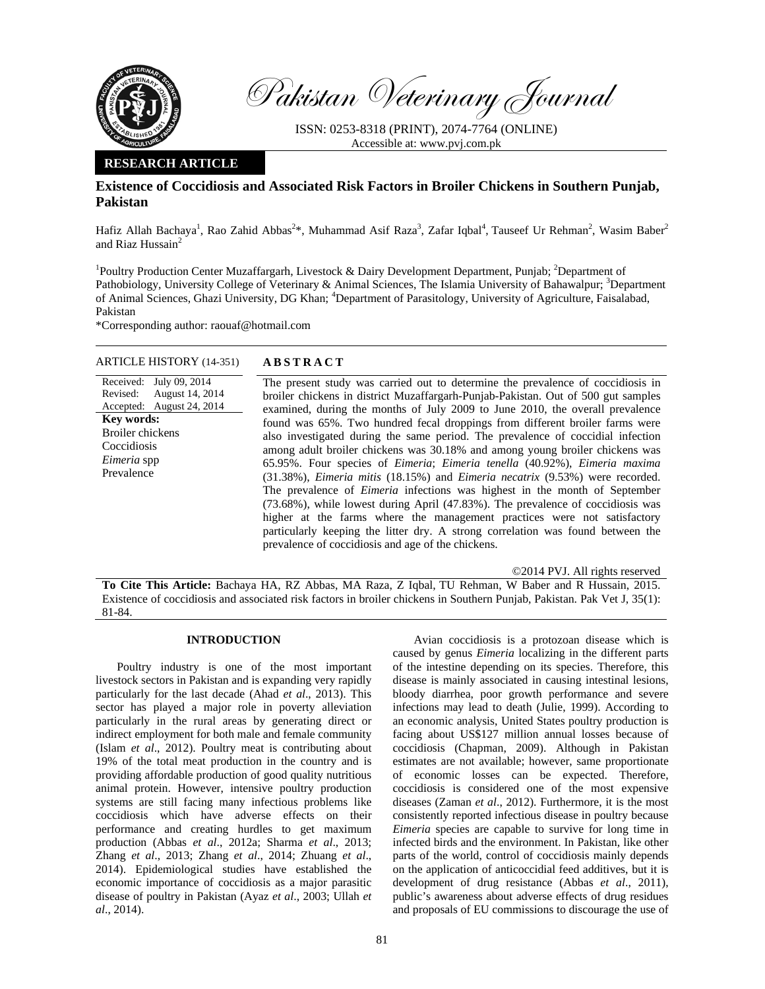

Pakistan Veterinary Journal

ISSN: 0253-8318 (PRINT), 2074-7764 (ONLINE) Accessible at: www.pvj.com.pk

## **RESEARCH ARTICLE**

# **Existence of Coccidiosis and Associated Risk Factors in Broiler Chickens in Southern Punjab, Pakistan**

Hafiz Allah Bachaya<sup>1</sup>, Rao Zahid Abbas<sup>2\*</sup>, Muhammad Asif Raza<sup>3</sup>, Zafar Iqbal<sup>4</sup>, Tauseef Ur Rehman<sup>2</sup>, Wasim Baber<sup>2</sup> and Riaz Hussain $2$ 

<sup>1</sup>Poultry Production Center Muzaffargarh, Livestock & Dairy Development Department, Punjab; <sup>2</sup>Department of Pathobiology, University College of Veterinary & Animal Sciences, The Islamia University of Bahawalpur; <sup>3</sup>Department of Animal Sciences, Ghazi University, DG Khan; <sup>4</sup>Department of Parasitology, University of Agriculture, Faisalabad, Pakistan

\*Corresponding author: raouaf@hotmail.com

### ARTICLE HISTORY (14-351) **ABSTRACT**

August 14, 2014 August 24, 2014

Received: July 09, 2014

Revised: Accepted:

**Key words:**  Broiler chickens Coccidiosis *Eimeria* spp Prevalence

 The present study was carried out to determine the prevalence of coccidiosis in broiler chickens in district Muzaffargarh-Punjab-Pakistan. Out of 500 gut samples examined, during the months of July 2009 to June 2010, the overall prevalence found was 65%. Two hundred fecal droppings from different broiler farms were also investigated during the same period. The prevalence of coccidial infection among adult broiler chickens was 30.18% and among young broiler chickens was 65.95%. Four species of *Eimeria*; *Eimeria tenella* (40.92%), *Eimeria maxima*  (31.38%), *Eimeria mitis* (18.15%) and *Eimeria necatrix* (9.53%) were recorded. The prevalence of *Eimeria* infections was highest in the month of September (73.68%), while lowest during April (47.83%). The prevalence of coccidiosis was higher at the farms where the management practices were not satisfactory particularly keeping the litter dry. A strong correlation was found between the prevalence of coccidiosis and age of the chickens.

©2014 PVJ. All rights reserved

**To Cite This Article:** Bachaya HA, RZ Abbas, MA Raza, Z Iqbal, TU Rehman, W Baber and R Hussain, 2015. Existence of coccidiosis and associated risk factors in broiler chickens in Southern Punjab, Pakistan. Pak Vet J, 35(1): 81-84.

## **INTRODUCTION**

Poultry industry is one of the most important livestock sectors in Pakistan and is expanding very rapidly particularly for the last decade (Ahad *et al*., 2013). This sector has played a major role in poverty alleviation particularly in the rural areas by generating direct or indirect employment for both male and female community (Islam *et al*., 2012). Poultry meat is contributing about 19% of the total meat production in the country and is providing affordable production of good quality nutritious animal protein. However, intensive poultry production systems are still facing many infectious problems like coccidiosis which have adverse effects on their performance and creating hurdles to get maximum production (Abbas *et al*., 2012a; Sharma *et al*., 2013; Zhang *et al*., 2013; Zhang *et al*., 2014; Zhuang *et al*., 2014). Epidemiological studies have established the economic importance of coccidiosis as a major parasitic disease of poultry in Pakistan (Ayaz *et al*., 2003; Ullah *et al*., 2014).

Avian coccidiosis is a protozoan disease which is caused by genus *Eimeria* localizing in the different parts of the intestine depending on its species. Therefore, this disease is mainly associated in causing intestinal lesions, bloody diarrhea, poor growth performance and severe infections may lead to death (Julie, 1999). According to an economic analysis, United States poultry production is facing about US\$127 million annual losses because of coccidiosis (Chapman, 2009). Although in Pakistan estimates are not available; however, same proportionate of economic losses can be expected. Therefore, coccidiosis is considered one of the most expensive diseases (Zaman *et al*., 2012). Furthermore, it is the most consistently reported infectious disease in poultry because *Eimeria* species are capable to survive for long time in infected birds and the environment. In Pakistan, like other parts of the world, control of coccidiosis mainly depends on the application of anticoccidial feed additives, but it is development of drug resistance (Abbas *et al*., 2011), public's awareness about adverse effects of drug residues and proposals of EU commissions to discourage the use of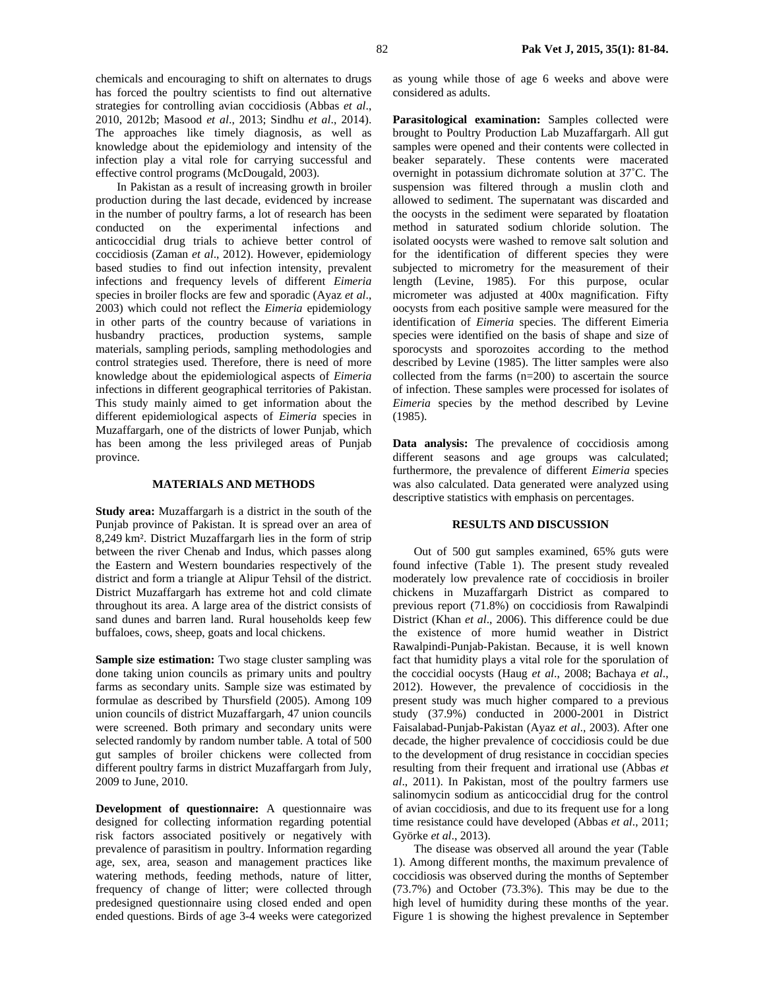chemicals and encouraging to shift on alternates to drugs has forced the poultry scientists to find out alternative strategies for controlling avian coccidiosis (Abbas *et al*., 2010, 2012b; Masood *et al*., 2013; Sindhu *et al*., 2014). The approaches like timely diagnosis, as well as knowledge about the epidemiology and intensity of the infection play a vital role for carrying successful and effective control programs (McDougald, 2003).

In Pakistan as a result of increasing growth in broiler production during the last decade, evidenced by increase in the number of poultry farms, a lot of research has been conducted on the experimental infections and anticoccidial drug trials to achieve better control of coccidiosis (Zaman *et al*., 2012). However, epidemiology based studies to find out infection intensity, prevalent infections and frequency levels of different *Eimeria* species in broiler flocks are few and sporadic (Ayaz *et al*., 2003) which could not reflect the *Eimeria* epidemiology in other parts of the country because of variations in husbandry practices, production systems, sample materials, sampling periods, sampling methodologies and control strategies used. Therefore, there is need of more knowledge about the epidemiological aspects of *Eimeria* infections in different geographical territories of Pakistan. This study mainly aimed to get information about the different epidemiological aspects of *Eimeria* species in Muzaffargarh, one of the districts of lower Punjab, which has been among the less privileged areas of Punjab province.

#### **MATERIALS AND METHODS**

**Study area:** Muzaffargarh is a district in the south of the Punjab province of Pakistan. It is spread over an area of 8,249 km². District Muzaffargarh lies in the form of strip between the river Chenab and Indus, which passes along the Eastern and Western boundaries respectively of the district and form a triangle at Alipur Tehsil of the district. District Muzaffargarh has extreme hot and cold climate throughout its area. A large area of the district consists of sand dunes and barren land. Rural households keep few buffaloes, cows, sheep, goats and local chickens.

Sample size estimation: Two stage cluster sampling was done taking union councils as primary units and poultry farms as secondary units. Sample size was estimated by formulae as described by Thursfield (2005). Among 109 union councils of district Muzaffargarh, 47 union councils were screened. Both primary and secondary units were selected randomly by random number table. A total of 500 gut samples of broiler chickens were collected from different poultry farms in district Muzaffargarh from July, 2009 to June, 2010.

**Development of questionnaire:** A questionnaire was designed for collecting information regarding potential risk factors associated positively or negatively with prevalence of parasitism in poultry. Information regarding age, sex, area, season and management practices like watering methods, feeding methods, nature of litter, frequency of change of litter; were collected through predesigned questionnaire using closed ended and open ended questions. Birds of age 3-4 weeks were categorized as young while those of age 6 weeks and above were considered as adults.

**Parasitological examination:** Samples collected were brought to Poultry Production Lab Muzaffargarh. All gut samples were opened and their contents were collected in beaker separately. These contents were macerated overnight in potassium dichromate solution at 37˚C. The suspension was filtered through a muslin cloth and allowed to sediment. The supernatant was discarded and the oocysts in the sediment were separated by floatation method in saturated sodium chloride solution. The isolated oocysts were washed to remove salt solution and for the identification of different species they were subjected to micrometry for the measurement of their length (Levine, 1985). For this purpose, ocular micrometer was adjusted at 400x magnification. Fifty oocysts from each positive sample were measured for the identification of *Eimeria* species. The different Eimeria species were identified on the basis of shape and size of sporocysts and sporozoites according to the method described by Levine (1985). The litter samples were also collected from the farms (n=200) to ascertain the source of infection. These samples were processed for isolates of *Eimeria* species by the method described by Levine (1985).

**Data analysis:** The prevalence of coccidiosis among different seasons and age groups was calculated; furthermore, the prevalence of different *Eimeria* species was also calculated. Data generated were analyzed using descriptive statistics with emphasis on percentages.

### **RESULTS AND DISCUSSION**

Out of 500 gut samples examined, 65% guts were found infective (Table 1). The present study revealed moderately low prevalence rate of coccidiosis in broiler chickens in Muzaffargarh District as compared to previous report (71.8%) on coccidiosis from Rawalpindi District (Khan *et al*., 2006). This difference could be due the existence of more humid weather in District Rawalpindi-Punjab-Pakistan. Because, it is well known fact that humidity plays a vital role for the sporulation of the coccidial oocysts (Haug *et al*., 2008; Bachaya *et al*., 2012). However, the prevalence of coccidiosis in the present study was much higher compared to a previous study (37.9%) conducted in 2000-2001 in District Faisalabad-Punjab-Pakistan (Ayaz *et al*., 2003). After one decade, the higher prevalence of coccidiosis could be due to the development of drug resistance in coccidian species resulting from their frequent and irrational use (Abbas *et al*., 2011). In Pakistan, most of the poultry farmers use salinomycin sodium as anticoccidial drug for the control of avian coccidiosis, and due to its frequent use for a long time resistance could have developed (Abbas *et al*., 2011; Györke *et al*., 2013).

The disease was observed all around the year (Table 1). Among different months, the maximum prevalence of coccidiosis was observed during the months of September (73.7%) and October (73.3%). This may be due to the high level of humidity during these months of the year. Figure 1 is showing the highest prevalence in September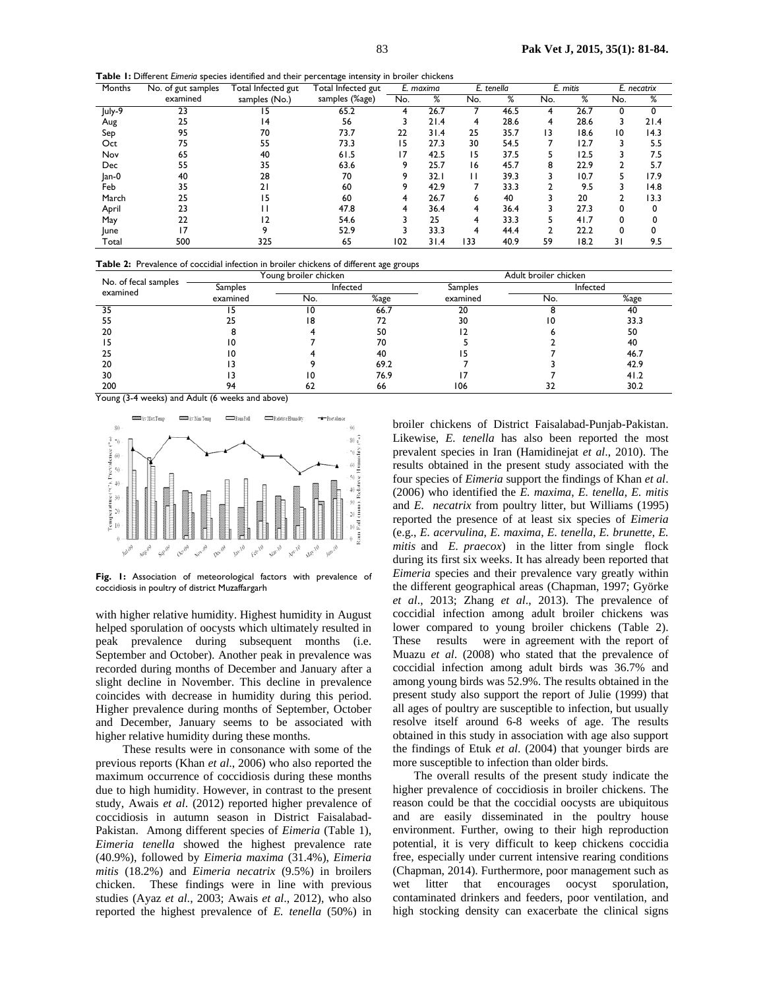**Table 1:** Different *Eimeria* species identified and their percentage intensity in broiler chickens

| Months  | No. of gut samples | Total Infected gut | <b>Total Infected gut</b> | E. maxima |      | E. tenella |      | E. mitis |      | E. necatrix |      |
|---------|--------------------|--------------------|---------------------------|-----------|------|------------|------|----------|------|-------------|------|
|         | examined           | samples (No.)      | samples (%age)            | No.       | %    | No.        | %    | No.      | %    | No.         | %    |
| July-9  | 23                 |                    | 65.2                      |           | 26.7 |            | 46.5 |          | 26.7 |             |      |
| Aug     | 25                 | ، 4                | 56                        |           | 21.4 | 4          | 28.6 | 4        | 28.6 |             | 21.4 |
| Sep     | 95                 | 70                 | 73.7                      | 22        | 31.4 | 25         | 35.7 | 13       | 18.6 | 10          | 14.3 |
| Oct     | 75                 | 55                 | 73.3                      | 15        | 27.3 | 30         | 54.5 |          | 12.7 |             | 5.5  |
| Nov     | 65                 | 40                 | 61.5                      | 17        | 42.5 | 15         | 37.5 |          | 12.5 |             | 7.5  |
| Dec     | 55                 | 35                 | 63.6                      | 9         | 25.7 | 16         | 45.7 | 8        | 22.9 |             | 5.7  |
| $lan-0$ | 40                 | 28                 | 70                        |           | 32.I | ı ı        | 39.3 |          | 10.7 |             | 17.9 |
| Feb     | 35                 | 21                 | 60                        | 9         | 42.9 |            | 33.3 |          | 9.5  |             | 14.8 |
| March   | 25                 | 5                  | 60                        |           | 26.7 | ь          | 40   |          | 20   |             | 13.3 |
| April   | 23                 |                    | 47.8                      | 4         | 36.4 | 4          | 36.4 |          | 27.3 | 0           | 0    |
| May     | 22                 |                    | 54.6                      |           | 25   | 4          | 33.3 |          | 41.7 |             |      |
| lune    |                    |                    | 52.9                      |           | 33.3 | 4          | 44.4 |          | 22.2 | 0           |      |
| Total   | 500                | 325                | 65                        | 102       | 31.4 | 133        | 40.9 | 59       | 18.2 | 31          | 9.5  |

**Table 2:** Prevalence of coccidial infection in broiler chickens of different age groups

| No. of fecal samples |          | Young broiler chicken |      | Adult broiler chicken |          |      |  |  |
|----------------------|----------|-----------------------|------|-----------------------|----------|------|--|--|
| examined             | Samples  | Infected              |      | Samples               | Infected |      |  |  |
|                      | examined | No.                   | %age | examined              | No.      | %age |  |  |
| 35                   |          |                       | 66.7 | 20                    |          | 40   |  |  |
| 55                   |          | 18                    |      | 30                    |          | 33.3 |  |  |
| 20                   |          |                       | 50   |                       |          | 50   |  |  |
|                      |          |                       | 70   |                       |          | 40   |  |  |
| 25                   |          |                       | 40   |                       |          | 46.7 |  |  |
| 20                   |          |                       | 69.2 |                       |          | 42.9 |  |  |
| 30                   |          |                       | 76.9 |                       |          | 41.2 |  |  |
| 200                  |          |                       | 66   | 106                   |          | 30.2 |  |  |

Young (3-4 weeks) and Adult (6 weeks and above)



**Fig. 1:** Association of meteorological factors with prevalence of coccidiosis in poultry of district Muzaffargarh

with higher relative humidity. Highest humidity in August helped sporulation of oocysts which ultimately resulted in peak prevalence during subsequent months (i.e. September and October). Another peak in prevalence was recorded during months of December and January after a slight decline in November. This decline in prevalence coincides with decrease in humidity during this period. Higher prevalence during months of September, October and December, January seems to be associated with higher relative humidity during these months.

 These results were in consonance with some of the previous reports (Khan *et al*., 2006) who also reported the maximum occurrence of coccidiosis during these months due to high humidity. However, in contrast to the present study, Awais *et al*. (2012) reported higher prevalence of coccidiosis in autumn season in District Faisalabad-Pakistan. Among different species of *Eimeria* (Table 1), *Eimeria tenella* showed the highest prevalence rate (40.9%), followed by *Eimeria maxima* (31.4%), *Eimeria mitis* (18.2%) and *Eimeria necatrix* (9.5%) in broilers chicken. These findings were in line with previous studies (Ayaz *et al*., 2003; Awais *et al*., 2012), who also reported the highest prevalence of *E. tenella* (50%) in

broiler chickens of District Faisalabad-Punjab-Pakistan. Likewise, *E. tenella* has also been reported the most prevalent species in Iran (Hamidinejat *et al*., 2010). The results obtained in the present study associated with the four species of *Eimeria* support the findings of Khan *et al*. (2006) who identified the *E. maxima*, *E. tenella*, *E. mitis* and *E. necatrix* from poultry litter, but Williams (1995) reported the presence of at least six species of *Eimeria* (e.g., *E. acervulina*, *E. maxima*, *E. tenella*, *E. brunette*, *E. mitis* and *E. praecox*) in the litter from single flock during its first six weeks. It has already been reported that *Eimeria* species and their prevalence vary greatly within the different geographical areas (Chapman, 1997; Györke *et al*., 2013; Zhang *et al*., 2013). The prevalence of coccidial infection among adult broiler chickens was lower compared to young broiler chickens (Table 2). These results were in agreement with the report of Muazu *et al*. (2008) who stated that the prevalence of coccidial infection among adult birds was 36.7% and among young birds was 52.9%. The results obtained in the present study also support the report of Julie (1999) that all ages of poultry are susceptible to infection, but usually resolve itself around 6-8 weeks of age. The results obtained in this study in association with age also support the findings of Etuk *et al*. (2004) that younger birds are more susceptible to infection than older birds.

The overall results of the present study indicate the higher prevalence of coccidiosis in broiler chickens. The reason could be that the coccidial oocysts are ubiquitous and are easily disseminated in the poultry house environment. Further, owing to their high reproduction potential, it is very difficult to keep chickens coccidia free, especially under current intensive rearing conditions (Chapman, 2014). Furthermore, poor management such as wet litter that encourages oocyst sporulation, contaminated drinkers and feeders, poor ventilation, and high stocking density can exacerbate the clinical signs